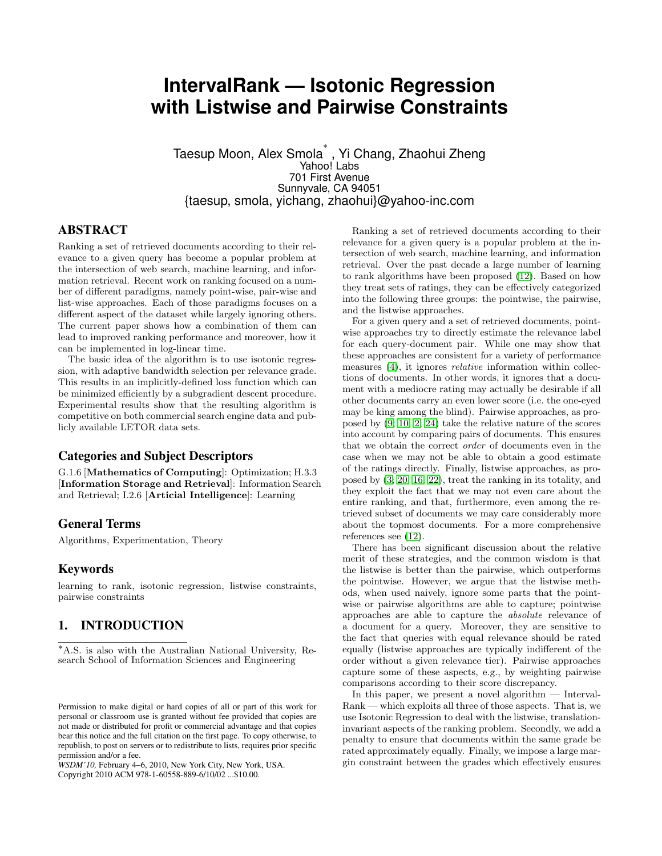# **IntervalRank — Isotonic Regression with Listwise and Pairwise Constraints**

Taesup Moon, Alex Smola ∗ , Yi Chang, Zhaohui Zheng Yahoo! Labs 701 First Avenue Sunnyvale, CA 94051 {taesup, smola, yichang, zhaohui}@yahoo-inc.com

# ABSTRACT

Ranking a set of retrieved documents according to their relevance to a given query has become a popular problem at the intersection of web search, machine learning, and information retrieval. Recent work on ranking focused on a number of different paradigms, namely point-wise, pair-wise and list-wise approaches. Each of those paradigms focuses on a different aspect of the dataset while largely ignoring others. The current paper shows how a combination of them can lead to improved ranking performance and moreover, how it can be implemented in log-linear time.

The basic idea of the algorithm is to use isotonic regression, with adaptive bandwidth selection per relevance grade. This results in an implicitly-defined loss function which can be minimized efficiently by a subgradient descent procedure. Experimental results show that the resulting algorithm is competitive on both commercial search engine data and publicly available LETOR data sets.

## Categories and Subject Descriptors

G.1.6 [Mathematics of Computing]: Optimization; H.3.3 [Information Storage and Retrieval]: Information Search and Retrieval; I.2.6 [Articial Intelligence]: Learning

# General Terms

Algorithms, Experimentation, Theory

## Keywords

learning to rank, isotonic regression, listwise constraints, pairwise constraints

# 1. INTRODUCTION

*WSDM'10,* February 4–6, 2010, New York City, New York, USA. Copyright 2010 ACM 978-1-60558-889-6/10/02 ...\$10.00.

Ranking a set of retrieved documents according to their relevance for a given query is a popular problem at the intersection of web search, machine learning, and information retrieval. Over the past decade a large number of learning to rank algorithms have been proposed [\(12\)](#page-7-0). Based on how they treat sets of ratings, they can be effectively categorized into the following three groups: the pointwise, the pairwise, and the listwise approaches.

For a given query and a set of retrieved documents, pointwise approaches try to directly estimate the relevance label for each query-document pair. While one may show that these approaches are consistent for a variety of performance measures [\(4\)](#page-7-1), it ignores relative information within collections of documents. In other words, it ignores that a document with a mediocre rating may actually be desirable if all other documents carry an even lower score (i.e. the one-eyed may be king among the blind). Pairwise approaches, as proposed by [\(9;](#page-7-2) [10;](#page-7-3) [2;](#page-7-4) [24\)](#page-8-0) take the relative nature of the scores into account by comparing pairs of documents. This ensures that we obtain the correct order of documents even in the case when we may not be able to obtain a good estimate of the ratings directly. Finally, listwise approaches, as proposed by [\(3;](#page-7-5) [20;](#page-8-1) [16;](#page-7-6) [22\)](#page-8-2), treat the ranking in its totality, and they exploit the fact that we may not even care about the entire ranking, and that, furthermore, even among the retrieved subset of documents we may care considerably more about the topmost documents. For a more comprehensive references see [\(12\)](#page-7-0).

There has been significant discussion about the relative merit of these strategies, and the common wisdom is that the listwise is better than the pairwise, which outperforms the pointwise. However, we argue that the listwise methods, when used naively, ignore some parts that the pointwise or pairwise algorithms are able to capture; pointwise approaches are able to capture the absolute relevance of a document for a query. Moreover, they are sensitive to the fact that queries with equal relevance should be rated equally (listwise approaches are typically indifferent of the order without a given relevance tier). Pairwise approaches capture some of these aspects, e.g., by weighting pairwise comparisons according to their score discrepancy.

In this paper, we present a novel algorithm — Interval-Rank — which exploits all three of those aspects. That is, we use Isotonic Regression to deal with the listwise, translationinvariant aspects of the ranking problem. Secondly, we add a penalty to ensure that documents within the same grade be rated approximately equally. Finally, we impose a large margin constraint between the grades which effectively ensures

<sup>∗</sup>A.S. is also with the Australian National University, Research School of Information Sciences and Engineering

Permission to make digital or hard copies of all or part of this work for personal or classroom use is granted without fee provided that copies are not made or distributed for profit or commercial advantage and that copies bear this notice and the full citation on the first page. To copy otherwise, to republish, to post on servers or to redistribute to lists, requires prior specific permission and/or a fee.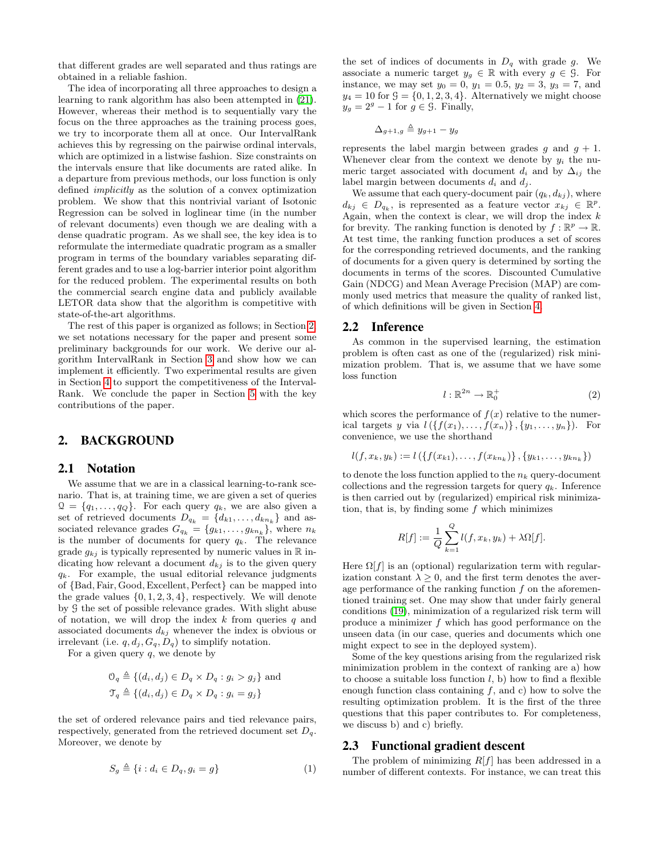that different grades are well separated and thus ratings are obtained in a reliable fashion.

The idea of incorporating all three approaches to design a learning to rank algorithm has also been attempted in [\(21\)](#page-8-3). However, whereas their method is to sequentially vary the focus on the three approaches as the training process goes, we try to incorporate them all at once. Our IntervalRank achieves this by regressing on the pairwise ordinal intervals, which are optimized in a listwise fashion. Size constraints on the intervals ensure that like documents are rated alike. In a departure from previous methods, our loss function is only defined implicitly as the solution of a convex optimization problem. We show that this nontrivial variant of Isotonic Regression can be solved in loglinear time (in the number of relevant documents) even though we are dealing with a dense quadratic program. As we shall see, the key idea is to reformulate the intermediate quadratic program as a smaller program in terms of the boundary variables separating different grades and to use a log-barrier interior point algorithm for the reduced problem. The experimental results on both the commercial search engine data and publicly available LETOR data show that the algorithm is competitive with state-of-the-art algorithms.

The rest of this paper is organized as follows; in Section [2,](#page-1-0) we set notations necessary for the paper and present some preliminary backgrounds for our work. We derive our algorithm IntervalRank in Section [3](#page-2-0) and show how we can implement it efficiently. Two experimental results are given in Section [4](#page-4-0) to support the competitiveness of the Interval-Rank. We conclude the paper in Section [5](#page-7-7) with the key contributions of the paper.

## <span id="page-1-0"></span>2. BACKGROUND

# 2.1 Notation

We assume that we are in a classical learning-to-rank scenario. That is, at training time, we are given a set of queries  $\mathcal{Q} = \{q_1, \ldots, q_Q\}$ . For each query  $q_k$ , we are also given a set of retrieved documents  $D_{q_k} = \{d_{k1}, \ldots, d_{kn_k}\}\$  and associated relevance grades  $G_{q_k} = \{g_{k1}, \ldots, g_{kn_k}\}\$ , where  $n_k$ is the number of documents for query  $q_k$ . The relevance grade  $g_{kj}$  is typically represented by numeric values in  $\mathbb R$  indicating how relevant a document  $d_{kj}$  is to the given query  $q_k$ . For example, the usual editorial relevance judgments of {Bad, Fair, Good,Excellent,Perfect} can be mapped into the grade values  $\{0, 1, 2, 3, 4\}$ , respectively. We will denote by G the set of possible relevance grades. With slight abuse of notation, we will drop the index  $k$  from queries  $q$  and associated documents  $d_{kj}$  whenever the index is obvious or irrelevant (i.e.  $q, d_j, G_q, D_q$ ) to simplify notation.

For a given query  $q$ , we denote by

$$
\mathcal{O}_q \triangleq \{ (d_i, d_j) \in D_q \times D_q : g_i > g_j \} \text{ and}
$$
  

$$
\mathcal{T}_q \triangleq \{ (d_i, d_j) \in D_q \times D_q : g_i = g_j \}
$$

the set of ordered relevance pairs and tied relevance pairs, respectively, generated from the retrieved document set  $D_q$ . Moreover, we denote by

$$
S_g \triangleq \{i : d_i \in D_q, g_i = g\} \tag{1}
$$

the set of indices of documents in  $D_q$  with grade g. We associate a numeric target  $y_g \in \mathbb{R}$  with every  $g \in \mathcal{G}$ . For instance, we may set  $y_0 = 0$ ,  $y_1 = 0.5$ ,  $y_2 = 3$ ,  $y_3 = 7$ , and  $y_4 = 10$  for  $\mathcal{G} = \{0, 1, 2, 3, 4\}$ . Alternatively we might choose  $y_g = 2^g - 1$  for  $g \in \mathcal{G}$ . Finally,

$$
\Delta_{g+1,g}\triangleq y_{g+1}-y_g
$$

represents the label margin between grades q and  $q + 1$ . Whenever clear from the context we denote by  $y_i$  the numeric target associated with document  $d_i$  and by  $\Delta_{ij}$  the label margin between documents  $d_i$  and  $d_j$ .

We assume that each query-document pair  $(q_k, d_{kj})$ , where  $d_{kj} \in D_{q_k}$ , is represented as a feature vector  $x_{kj} \in \mathbb{R}^p$ . Again, when the context is clear, we will drop the index  $k$ for brevity. The ranking function is denoted by  $f : \mathbb{R}^p \to \mathbb{R}$ . At test time, the ranking function produces a set of scores for the corresponding retrieved documents, and the ranking of documents for a given query is determined by sorting the documents in terms of the scores. Discounted Cumulative Gain (NDCG) and Mean Average Precision (MAP) are commonly used metrics that measure the quality of ranked list, of which definitions will be given in Section [4.](#page-4-0)

## 2.2 Inference

As common in the supervised learning, the estimation problem is often cast as one of the (regularized) risk minimization problem. That is, we assume that we have some loss function

$$
l: \mathbb{R}^{2n} \to \mathbb{R}_0^+ \tag{2}
$$

which scores the performance of  $f(x)$  relative to the numerical targets y via  $l({f(x_1),..., f(x_n)}, {y_1,..., y_n})$ . For convenience, we use the shorthand

$$
l(f, x_k, y_k) := l(\{f(x_{k1}), \ldots, f(x_{kn_k})\}, \{y_{k1}, \ldots, y_{kn_k}\})
$$

to denote the loss function applied to the  $n_k$  query-document collections and the regression targets for query  $q_k$ . Inference is then carried out by (regularized) empirical risk minimization, that is, by finding some  $f$  which minimizes

$$
R[f] := \frac{1}{Q} \sum_{k=1}^{Q} l(f, x_k, y_k) + \lambda \Omega[f].
$$

Here  $\Omega[f]$  is an (optional) regularization term with regularization constant  $\lambda \geq 0$ , and the first term denotes the average performance of the ranking function  $f$  on the aforementioned training set. One may show that under fairly general conditions [\(19\)](#page-8-4), minimization of a regularized risk term will produce a minimizer f which has good performance on the unseen data (in our case, queries and documents which one might expect to see in the deployed system).

Some of the key questions arising from the regularized risk minimization problem in the context of ranking are a) how to choose a suitable loss function  $l$ , b) how to find a flexible enough function class containing  $f$ , and c) how to solve the resulting optimization problem. It is the first of the three questions that this paper contributes to. For completeness, we discuss b) and c) briefly.

#### <span id="page-1-1"></span>2.3 Functional gradient descent

<span id="page-1-2"></span>The problem of minimizing  $R[f]$  has been addressed in a number of different contexts. For instance, we can treat this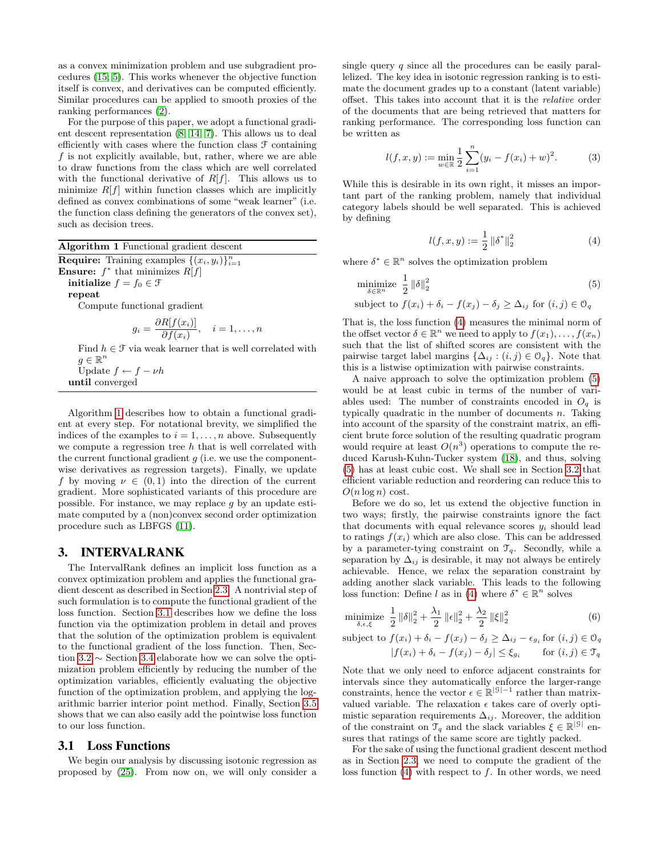as a convex minimization problem and use subgradient procedures [\(15;](#page-7-8) [5\)](#page-7-9). This works whenever the objective function itself is convex, and derivatives can be computed efficiently. Similar procedures can be applied to smooth proxies of the ranking performances [\(2\)](#page-7-4).

For the purpose of this paper, we adopt a functional gradient descent representation [\(8;](#page-7-10) [14;](#page-7-11) [7\)](#page-7-12). This allows us to deal efficiently with cases where the function class  $\mathcal F$  containing  $f$  is not explicitly available, but, rather, where we are able to draw functions from the class which are well correlated with the functional derivative of  $R[f]$ . This allows us to minimize  $R[f]$  within function classes which are implicitly defined as convex combinations of some "weak learner" (i.e. the function class defining the generators of the convex set), such as decision trees.

| <b>Algorithm 1</b> Functional gradient descent |  |  |  |  |
|------------------------------------------------|--|--|--|--|
|------------------------------------------------|--|--|--|--|

<span id="page-2-1"></span>**Require:** Training examples  $\{(x_i, y_i)\}_{i=1}^n$ **Ensure:**  $f^*$  that minimizes  $R[f]$ initialize  $f = f_0 \in \mathcal{F}$ repeat Compute functional gradient  $g_i = \frac{\partial R[f(x_i)]}{\partial f(x_i)}$  $\frac{\partial f(x_i)}{\partial f(x_i)}, \quad i = 1, \ldots, n$ Find  $h \in \mathcal{F}$  via weak learner that is well correlated with

 $g \in \mathbb{R}^n$ Update  $f \leftarrow f - \nu h$ until converged

Algorithm [1](#page-2-1) describes how to obtain a functional gradient at every step. For notational brevity, we simplified the indices of the examples to  $i = 1, \ldots, n$  above. Subsequently we compute a regression tree  $h$  that is well correlated with the current functional gradient  $g$  (i.e. we use the componentwise derivatives as regression targets). Finally, we update f by moving  $\nu \in (0,1)$  into the direction of the current gradient. More sophisticated variants of this procedure are possible. For instance, we may replace  $g$  by an update estimate computed by a (non)convex second order optimization procedure such as LBFGS [\(11\)](#page-7-13).

# <span id="page-2-0"></span>3. INTERVALRANK

The IntervalRank defines an implicit loss function as a convex optimization problem and applies the functional gradient descent as described in Section [2.3.](#page-1-1) A nontrivial step of such formulation is to compute the functional gradient of the loss function. Section [3.1](#page-2-2) describes how we define the loss function via the optimization problem in detail and proves that the solution of the optimization problem is equivalent to the functional gradient of the loss function. Then, Section [3.2](#page-3-0) ∼ Section [3.4](#page-4-1) elaborate how we can solve the optimization problem efficiently by reducing the number of the optimization variables, efficiently evaluating the objective function of the optimization problem, and applying the logarithmic barrier interior point method. Finally, Section [3.5](#page-4-2) shows that we can also easily add the pointwise loss function to our loss function.

#### <span id="page-2-2"></span>3.1 Loss Functions

We begin our analysis by discussing isotonic regression as proposed by [\(25\)](#page-8-5). From now on, we will only consider a

single query q since all the procedures can be easily parallelized. The key idea in isotonic regression ranking is to estimate the document grades up to a constant (latent variable) offset. This takes into account that it is the relative order of the documents that are being retrieved that matters for ranking performance. The corresponding loss function can be written as

$$
l(f, x, y) := \min_{w \in \mathbb{R}} \frac{1}{2} \sum_{i=1}^{n} (y_i - f(x_i) + w)^2.
$$
 (3)

While this is desirable in its own right, it misses an important part of the ranking problem, namely that individual category labels should be well separated. This is achieved by defining

<span id="page-2-4"></span><span id="page-2-3"></span>
$$
l(f, x, y) := \frac{1}{2} ||\delta^*||_2^2
$$
 (4)

where  $\delta^* \in \mathbb{R}^n$  solves the optimization problem

$$
\underset{\delta \in \mathbb{R}^n}{\text{minimize}} \frac{1}{2} \left\| \delta \right\|_2^2 \tag{5}
$$

subject to  $f(x_i) + \delta_i - f(x_j) - \delta_j \geq \Delta_{ij}$  for  $(i, j) \in \mathcal{O}_q$ 

That is, the loss function [\(4\)](#page-2-3) measures the minimal norm of the offset vector  $\delta \in \mathbb{R}^n$  we need to apply to  $f(x_1), \ldots, f(x_n)$ such that the list of shifted scores are consistent with the pairwise target label margins  $\{\Delta_{ij} : (i,j) \in \mathcal{O}_q\}$ . Note that this is a listwise optimization with pairwise constraints.

A naive approach to solve the optimization problem [\(5\)](#page-2-4) would be at least cubic in terms of the number of variables used: The number of constraints encoded in  $O_q$  is typically quadratic in the number of documents  $n$ . Taking into account of the sparsity of the constraint matrix, an efficient brute force solution of the resulting quadratic program would require at least  $O(n^3)$  operations to compute the reduced Karush-Kuhn-Tucker system [\(18\)](#page-7-14), and thus, solving [\(5\)](#page-2-4) has at least cubic cost. We shall see in Section [3.2](#page-3-0) that efficient variable reduction and reordering can reduce this to  $O(n \log n) \cos t$ .

Before we do so, let us extend the objective function in two ways; firstly, the pairwise constraints ignore the fact that documents with equal relevance scores  $y_i$  should lead to ratings  $f(x_i)$  which are also close. This can be addressed by a parameter-tying constraint on  $\mathcal{T}_q$ . Secondly, while a separation by  $\Delta_{ij}$  is desirable, it may not always be entirely achievable. Hence, we relax the separation constraint by adding another slack variable. This leads to the following loss function: Define l as in [\(4\)](#page-2-3) where  $\delta^* \in \mathbb{R}^n$  solves

<span id="page-2-5"></span>
$$
\underset{\delta,\epsilon,\xi}{\text{minimize}} \ \frac{1}{2} \left\| \delta \right\|_{2}^{2} + \frac{\lambda_{1}}{2} \left\| \epsilon \right\|_{2}^{2} + \frac{\lambda_{2}}{2} \left\| \xi \right\|_{2}^{2} \tag{6}
$$

subject to 
$$
f(x_i) + \delta_i - f(x_j) - \delta_j \ge \Delta_{ij} - \epsilon_{g_i}
$$
 for  $(i, j) \in \mathcal{O}_q$   
\n $|f(x_i) + \delta_i - f(x_j) - \delta_j| \le \xi_{g_i}$  for  $(i, j) \in \mathcal{T}_q$ 

Note that we only need to enforce adjacent constraints for intervals since they automatically enforce the larger-range constraints, hence the vector  $\epsilon \in \mathbb{R}^{|S|-1}$  rather than matrixvalued variable. The relaxation  $\epsilon$  takes care of overly optimistic separation requirements  $\Delta_{ij}$ . Moreover, the addition of the constraint on  $\mathcal{T}_q$  and the slack variables  $\xi \in \mathbb{R}^{|S|}$  ensures that ratings of the same score are tightly packed.

For the sake of using the functional gradient descent method as in Section [2.3,](#page-1-1) we need to compute the gradient of the loss function  $(4)$  with respect to f. In other words, we need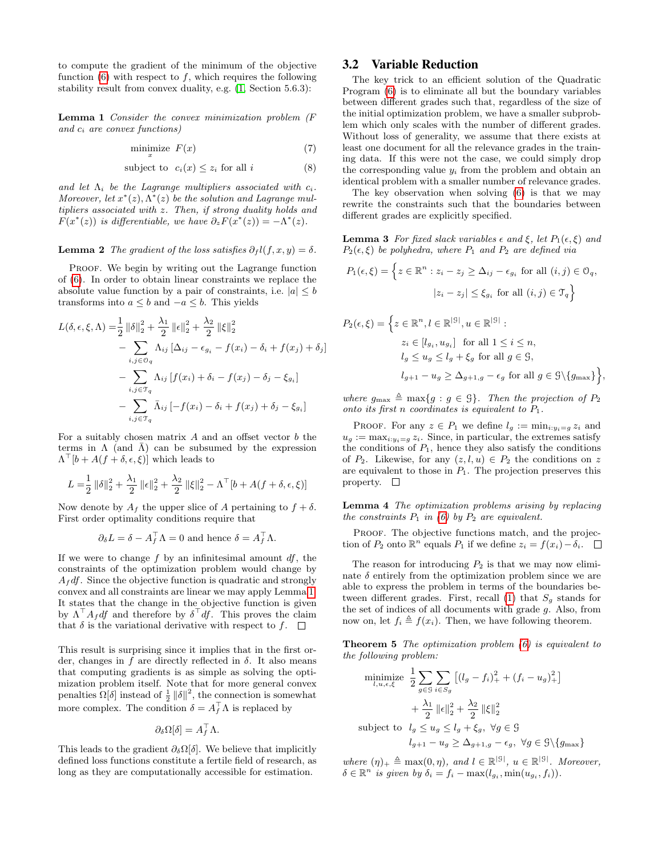to compute the gradient of the minimum of the objective function  $(6)$  with respect to f, which requires the following stability result from convex duality, e.g. [\(1,](#page-7-15) Section 5.6.3):

Lemma 1 Consider the convex minimization problem (F and  $c_i$  are convex functions)

$$
\min_{x} \text{size } F(x) \tag{7}
$$

$$
subject to c_i(x) \le z_i \text{ for all } i \tag{8}
$$

and let  $\Lambda_i$  be the Lagrange multipliers associated with  $c_i$ . Moreover, let  $x^*(z)$ ,  $\Lambda^*(z)$  be the solution and Lagrange multipliers associated with z. Then, if strong duality holds and  $F(x^*(z))$  is differentiable, we have  $\partial_z F(x^*(z)) = -\Lambda^*(z)$ .

#### **Lemma 2** The gradient of the loss satisfies  $\partial_f l(f, x, y) = \delta$ .

PROOF. We begin by writing out the Lagrange function of [\(6\)](#page-2-5). In order to obtain linear constraints we replace the absolute value function by a pair of constraints, i.e.  $|a| \leq b$ transforms into  $a \leq b$  and  $-a \leq b$ . This yields

$$
L(\delta, \epsilon, \xi, \Lambda) = \frac{1}{2} ||\delta||_2^2 + \frac{\lambda_1}{2} ||\epsilon||_2^2 + \frac{\lambda_2}{2} ||\xi||_2^2
$$
  
- 
$$
\sum_{i,j \in \mathcal{O}_q} \Lambda_{ij} [\Delta_{ij} - \epsilon_{g_i} - f(x_i) - \delta_i + f(x_j) + \delta_j]
$$
  
- 
$$
\sum_{i,j \in \mathcal{T}_q} \Lambda_{ij} [f(x_i) + \delta_i - f(x_j) - \delta_j - \xi_{g_i}]
$$
  
- 
$$
\sum_{i,j \in \mathcal{T}_q} \bar{\Lambda}_{ij} [-f(x_i) - \delta_i + f(x_j) + \delta_j - \xi_{g_i}]
$$

For a suitably chosen matrix  $A$  and an offset vector  $b$  the terms in  $\Lambda$  (and  $\bar{\Lambda}$ ) can be subsumed by the expression  $\Lambda^{\top}[b + A(f + \delta, \epsilon, \xi)]$  which leads to

$$
L = \frac{1}{2} ||\delta||_2^2 + \frac{\lambda_1}{2} ||\epsilon||_2^2 + \frac{\lambda_2}{2} ||\xi||_2^2 - \Lambda^{\top} [b + A(f + \delta, \epsilon, \xi)]
$$

Now denote by  $A_f$  the upper slice of A pertaining to  $f + \delta$ . First order optimality conditions require that

$$
\partial_{\delta}L = \delta - A_f^{\top} \Lambda = 0
$$
 and hence  $\delta = A_f^{\top} \Lambda$ .

If we were to change  $f$  by an infinitesimal amount  $df$ , the constraints of the optimization problem would change by  $A_f df$ . Since the objective function is quadratic and strongly convex and all constraints are linear we may apply Lemma [1.](#page-3-1) It states that the change in the objective function is given by  $\Lambda^\top A_f df$  and therefore by  $\delta^\top df$ . This proves the claim that  $\delta$  is the variational derivative with respect to f.  $\Box$ 

This result is surprising since it implies that in the first order, changes in f are directly reflected in  $\delta$ . It also means that computing gradients is as simple as solving the optimization problem itself. Note that for more general convex penalties  $\Omega[\delta]$  instead of  $\frac{1}{2} ||\delta||^2$ , the connection is somewhat more complex. The condition  $\delta = A_f^{\top} \Lambda$  is replaced by

$$
\partial_{\delta}\Omega[\delta] = A_f^{\top}\Lambda.
$$

This leads to the gradient  $\partial_{\delta} \Omega[\delta]$ . We believe that implicitly defined loss functions constitute a fertile field of research, as long as they are computationally accessible for estimation.

# <span id="page-3-0"></span>3.2 Variable Reduction

<span id="page-3-1"></span>The key trick to an efficient solution of the Quadratic Program [\(6\)](#page-2-5) is to eliminate all but the boundary variables between different grades such that, regardless of the size of the initial optimization problem, we have a smaller subproblem which only scales with the number of different grades. Without loss of generality, we assume that there exists at least one document for all the relevance grades in the training data. If this were not the case, we could simply drop the corresponding value  $y_i$  from the problem and obtain an identical problem with a smaller number of relevance grades.

The key observation when solving [\(6\)](#page-2-5) is that we may rewrite the constraints such that the boundaries between different grades are explicitly specified.

**Lemma 3** For fixed slack variables  $\epsilon$  and  $\xi$ , let  $P_1(\epsilon, \xi)$  and  $P_2(\epsilon, \xi)$  be polyhedra, where  $P_1$  and  $P_2$  are defined via

$$
P_1(\epsilon, \xi) = \left\{ z \in \mathbb{R}^n : z_i - z_j \ge \Delta_{ij} - \epsilon_{g_i} \text{ for all } (i, j) \in \mathcal{O}_q, |z_i - z_j| \le \xi_{g_i} \text{ for all } (i, j) \in \mathcal{T}_q \right\}
$$
  

$$
P_2(\epsilon, \xi) = \left\{ z \in \mathbb{R}^n, l \in \mathbb{R}^{|\mathcal{S}|}, u \in \mathbb{R}^{|\mathcal{S}|} : z_i \in [l_{g_i}, u_{g_i}] \text{ for all } 1 \le i \le n, l_g \le u_g \le l_g + \xi_g \text{ for all } g \in \mathcal{G}, l_{g+1} - u_g \ge \Delta_{g+1,g} - \epsilon_g \text{ for all } g \in \mathcal{G} \setminus \{g_{\text{max}}\} \right\},
$$

where  $g_{\text{max}} \triangleq \max\{g : g \in \mathcal{G}\}\$ . Then the projection of  $P_2$ onto its first n coordinates is equivalent to  $P_1$ .

PROOF. For any  $z \in P_1$  we define  $l_g := \min_{i:y_i=g} z_i$  and  $u_g := \max_{i:y_i=g} z_i$ . Since, in particular, the extremes satisfy the conditions of  $P_1$ , hence they also satisfy the conditions of  $P_2$ . Likewise, for any  $(z, l, u) \in P_2$  the conditions on z are equivalent to those in  $P_1$ . The projection preserves this property.  $\Box$ 

Lemma 4 The optimization problems arising by replacing the constraints  $P_1$  in [\(6\)](#page-2-5) by  $P_2$  are equivalent.

PROOF. The objective functions match, and the projection of  $P_2$  onto  $\mathbb{R}^n$  equals  $P_1$  if we define  $z_i = f(x_i) - \delta_i$ .

The reason for introducing  $P_2$  is that we may now eliminate  $\delta$  entirely from the optimization problem since we are able to express the problem in terms of the boundaries be-tween different grades. First, recall [\(1\)](#page-1-2) that  $S<sub>g</sub>$  stands for the set of indices of all documents with grade g. Also, from now on, let  $f_i \triangleq f(x_i)$ . Then, we have following theorem.

**Theorem 5** The optimization problem  $(6)$  is equivalent to the following problem:

<span id="page-3-2"></span>
$$
\begin{aligned}\n\min_{l,u,\epsilon,\xi} \min_{\xi} & \frac{1}{2} \sum_{g \in \mathcal{G}} \sum_{i \in S_g} \left[ (l_g - f_i)_+^2 + (f_i - u_g)_+^2 \right] \\
& + \frac{\lambda_1}{2} \|\epsilon\|_2^2 + \frac{\lambda_2}{2} \|\xi\|_2^2 \\
\text{subject to} \quad l_g \le u_g \le l_g + \xi_g, \ \forall g \in \mathcal{G} \\
& l_{g+1} - u_g \ge \Delta_{g+1,g} - \epsilon_g, \ \forall g \in \mathcal{G} \setminus \{g_{\text{max}}\}\n\end{aligned}
$$

where  $(\eta)_+ \triangleq \max(0, \eta)$ , and  $l \in \mathbb{R}^{|S|}$ ,  $u \in \mathbb{R}^{|S|}$ . Moreover,  $\delta \in \mathbb{R}^n$  is given by  $\delta_i = f_i - \max(l_{g_i}, \min(u_{g_i}, f_i)).$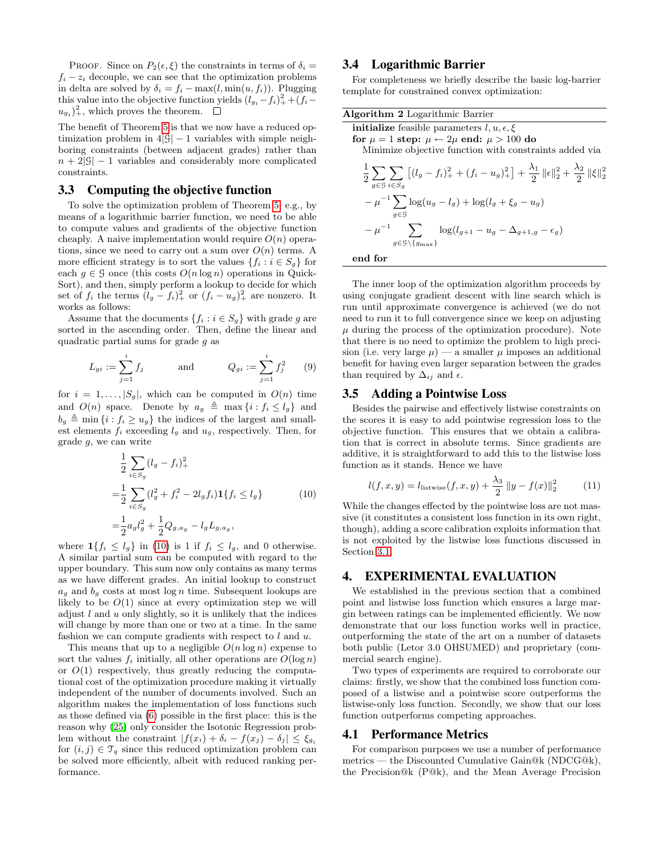PROOF. Since on  $P_2(\epsilon, \xi)$  the constraints in terms of  $\delta_i =$  $f_i - z_i$  decouple, we can see that the optimization problems in delta are solved by  $\delta_i = f_i - \max(l, \min(u, f_i))$ . Plugging this value into the objective function yields  $(l_{g_i} - f_i)_+^2 + (f_i - f_i)_+^2$  $(u_{g_i})^2_+$ , which proves the theorem.

The benefit of Theorem [5](#page-3-2) is that we now have a reduced optimization problem in  $4|S| - 1$  variables with simple neighboring constraints (between adjacent grades) rather than  $n + 2|S| - 1$  variables and considerably more complicated constraints.

## 3.3 Computing the objective function

To solve the optimization problem of Theorem [5,](#page-3-2) e.g., by means of a logarithmic barrier function, we need to be able to compute values and gradients of the objective function cheaply. A naive implementation would require  $O(n)$  operations, since we need to carry out a sum over  $O(n)$  terms. A more efficient strategy is to sort the values  $\{f_i : i \in S_q\}$  for each  $g \in \mathcal{G}$  once (this costs  $O(n \log n)$  operations in Quick-Sort), and then, simply perform a lookup to decide for which set of  $f_i$  the terms  $(l_g - f_i)_+^2$  or  $(f_i - u_g)_+^2$  are nonzero. It works as follows:

Assume that the documents  $\{f_i : i \in S_g\}$  with grade g are sorted in the ascending order. Then, define the linear and quadratic partial sums for grade g as

$$
L_{gi} := \sum_{j=1}^{i} f_j \quad \text{and} \quad Q_{gi} := \sum_{j=1}^{i} f_j^2 \quad (9)
$$

for  $i = 1, \ldots, |S_g|$ , which can be computed in  $O(n)$  time and  $O(n)$  space. Denote by  $a_g \triangleq \max\{i : f_i \leq l_g\}$  and  $b_q \triangleq \min\{i : f_i \geq u_q\}$  the indices of the largest and smallest elements  $f_i$  exceeding  $l_q$  and  $u_q$ , respectively. Then, for grade g, we can write

$$
\frac{1}{2} \sum_{i \in S_g} (l_g - f_i)_+^2
$$
\n
$$
= \frac{1}{2} \sum_{i \in S_g} (l_g^2 + f_i^2 - 2l_g f_i) \mathbf{1} \{ f_i \le l_g \} \tag{10}
$$
\n
$$
= \frac{1}{2} a_g l_g^2 + \frac{1}{2} Q_{g, a_g} - l_g L_{g, a_g},
$$

where  $1\{f_i \leq l_g\}$  in [\(10\)](#page-4-3) is 1 if  $f_i \leq l_g$ , and 0 otherwise. A similar partial sum can be computed with regard to the upper boundary. This sum now only contains as many terms as we have different grades. An initial lookup to construct  $a_g$  and  $b_g$  costs at most log n time. Subsequent lookups are likely to be  $O(1)$  since at every optimization step we will adjust  $l$  and  $u$  only slightly, so it is unlikely that the indices will change by more than one or two at a time. In the same fashion we can compute gradients with respect to  $l$  and  $u$ .

This means that up to a negligible  $O(n \log n)$  expense to sort the values  $f_i$  initially, all other operations are  $O(\log n)$ or  $O(1)$  respectively, thus greatly reducing the computational cost of the optimization procedure making it virtually independent of the number of documents involved. Such an algorithm makes the implementation of loss functions such as those defined via [\(6\)](#page-2-5) possible in the first place: this is the reason why [\(25\)](#page-8-5) only consider the Isotonic Regression problem without the constraint  $|f(x_i) + \delta_i - f(x_j) - \delta_j| \leq \xi_{g_i}$ for  $(i, j) \in \mathcal{T}_q$  since this reduced optimization problem can be solved more efficiently, albeit with reduced ranking performance.

# <span id="page-4-1"></span>3.4 Logarithmic Barrier

For completeness we briefly describe the basic log-barrier template for constrained convex optimization:

| <b>Algorithm 2</b> Logarithmic Barrier                                                                                                                                                                                                        |
|-----------------------------------------------------------------------------------------------------------------------------------------------------------------------------------------------------------------------------------------------|
| <b>initialize</b> feasible parameters $l, u, \epsilon, \xi$                                                                                                                                                                                   |
| for $\mu = 1$ step: $\mu \leftarrow 2\mu$ end: $\mu > 100$ do                                                                                                                                                                                 |
| Minimize objective function with constraints added via                                                                                                                                                                                        |
| $\frac{1}{2}\sum_{i}\sum_{j}\left[(l_{g}-f_{i})_{+}^{2}+(f_{i}-u_{g})_{+}^{2}\right]+\frac{\lambda_{1}}{2}\left\Vert \epsilon\right\Vert _{2}^{2}+\frac{\lambda_{2}}{2}\left\Vert \xi\right\Vert _{2}^{2}$<br>$q \in \mathcal{G}$ $i \in S_q$ |
| $-\mu^{-1}\sum \log(u_g - l_g) + \log(l_g + \xi_g - u_g)$<br>$q \in \mathcal{G}$                                                                                                                                                              |
| $-\mu^{-1}$ $\sum \log(l_{g+1}-u_g-\Delta_{g+1,g}-\epsilon_g)$<br>$g \in \mathcal{G} \setminus \{g_{\max}\}\$                                                                                                                                 |
| end for                                                                                                                                                                                                                                       |

The inner loop of the optimization algorithm proceeds by using conjugate gradient descent with line search which is run until approximate convergence is achieved (we do not need to run it to full convergence since we keep on adjusting  $\mu$  during the process of the optimization procedure). Note that there is no need to optimize the problem to high precision (i.e. very large  $\mu$ ) — a smaller  $\mu$  imposes an additional benefit for having even larger separation between the grades than required by  $\Delta_{ij}$  and  $\epsilon$ .

# <span id="page-4-2"></span>3.5 Adding a Pointwise Loss

Besides the pairwise and effectively listwise constraints on the scores it is easy to add pointwise regression loss to the objective function. This ensures that we obtain a calibration that is correct in absolute terms. Since gradients are additive, it is straightforward to add this to the listwise loss function as it stands. Hence we have

$$
l(f, x, y) = l_{\text{listwise}}(f, x, y) + \frac{\lambda_3}{2} ||y - f(x)||_2^2 \quad (11)
$$

<span id="page-4-3"></span>While the changes effected by the pointwise loss are not massive (it constitutes a consistent loss function in its own right, though), adding a score calibration exploits information that is not exploited by the listwise loss functions discussed in Section [3.1.](#page-2-2)

## <span id="page-4-0"></span>4. EXPERIMENTAL EVALUATION

We established in the previous section that a combined point and listwise loss function which ensures a large margin between ratings can be implemented efficiently. We now demonstrate that our loss function works well in practice, outperforming the state of the art on a number of datasets both public (Letor 3.0 OHSUMED) and proprietary (commercial search engine).

Two types of experiments are required to corroborate our claims: firstly, we show that the combined loss function composed of a listwise and a pointwise score outperforms the listwise-only loss function. Secondly, we show that our loss function outperforms competing approaches.

#### 4.1 Performance Metrics

For comparison purposes we use a number of performance metrics — the Discounted Cumulative Gain@k (NDCG@k), the Precision@k (P@k), and the Mean Average Precision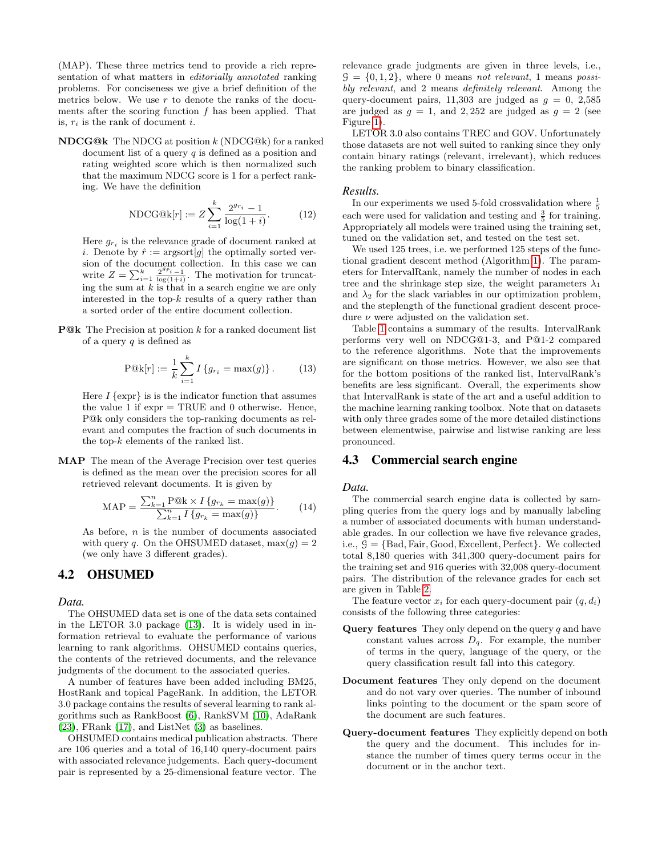(MAP). These three metrics tend to provide a rich representation of what matters in editorially annotated ranking problems. For conciseness we give a brief definition of the metrics below. We use  $r$  to denote the ranks of the documents after the scoring function  $f$  has been applied. That is,  $r_i$  is the rank of document i.

**NDCG@k** The NDCG at position  $k$  (NDCG@k) for a ranked document list of a query  $q$  is defined as a position and rating weighted score which is then normalized such that the maximum NDCG score is 1 for a perfect ranking. We have the definition

$$
NDCG@k[r] := Z \sum_{i=1}^{k} \frac{2^{g_{r_i}} - 1}{\log(1+i)}.
$$
 (12)

Here  $g_{r_i}$  is the relevance grade of document ranked at i. Denote by  $\hat{r} := \arg\text{sort}[g]$  the optimally sorted version of the document collection. In this case we can write  $Z = \sum_{i=1}^{\infty} \frac{2^{3}f_i - 1}{\log(1+i)}$ . The motivation for truncating the sum at  $k$  is that in a search engine we are only interested in the top- $k$  results of a query rather than a sorted order of the entire document collection.

P@k The Precision at position k for a ranked document list of a query  $q$  is defined as

$$
P@k[r] := \frac{1}{k} \sum_{i=1}^{k} I\{g_{r_i} = \max(g)\}.
$$
 (13)

Here  $I$  {expr} is is the indicator function that assumes the value 1 if expr = TRUE and 0 otherwise. Hence, P@k only considers the top-ranking documents as relevant and computes the fraction of such documents in the top- $k$  elements of the ranked list.

MAP The mean of the Average Precision over test queries is defined as the mean over the precision scores for all retrieved relevant documents. It is given by

$$
MAP = \frac{\sum_{k=1}^{n} P@k \times I \{g_{r_k} = \max(g)\}}{\sum_{k=1}^{n} I \{g_{r_k} = \max(g)\}}.
$$
 (14)

As before,  $n$  is the number of documents associated with query q. On the OHSUMED dataset,  $max(g) = 2$ (we only have 3 different grades).

# 4.2 OHSUMED

#### *Data.*

The OHSUMED data set is one of the data sets contained in the LETOR 3.0 package [\(13\)](#page-7-16). It is widely used in information retrieval to evaluate the performance of various learning to rank algorithms. OHSUMED contains queries, the contents of the retrieved documents, and the relevance judgments of the document to the associated queries.

A number of features have been added including BM25, HostRank and topical PageRank. In addition, the LETOR 3.0 package contains the results of several learning to rank algorithms such as RankBoost [\(6\)](#page-7-17), RankSVM [\(10\)](#page-7-3), AdaRank [\(23\)](#page-8-6), FRank [\(17\)](#page-7-18), and ListNet [\(3\)](#page-7-5) as baselines.

OHSUMED contains medical publication abstracts. There are 106 queries and a total of 16,140 query-document pairs with associated relevance judgements. Each query-document pair is represented by a 25-dimensional feature vector. The

relevance grade judgments are given in three levels, i.e.,  $\mathcal{G} = \{0, 1, 2\}$ , where 0 means not relevant, 1 means possibly relevant, and 2 means definitely relevant. Among the query-document pairs, 11,303 are judged as  $q = 0$ , 2,585 are judged as  $g = 1$ , and 2, 252 are judged as  $g = 2$  (see Figure [1\)](#page-6-0).

LETOR 3.0 also contains TREC and GOV. Unfortunately those datasets are not well suited to ranking since they only contain binary ratings (relevant, irrelevant), which reduces the ranking problem to binary classification.

#### *Results.*

In our experiments we used 5-fold crossvalidation where  $\frac{1}{5}$ each were used for validation and testing and  $\frac{3}{5}$  for training. Appropriately all models were trained using the training set, tuned on the validation set, and tested on the test set.

We used 125 trees, i.e. we performed 125 steps of the functional gradient descent method (Algorithm [1\)](#page-2-1). The parameters for IntervalRank, namely the number of nodes in each tree and the shrinkage step size, the weight parameters  $\lambda_1$ and  $\lambda_2$  for the slack variables in our optimization problem, and the steplength of the functional gradient descent procedure  $\nu$  were adjusted on the validation set.

Table [1](#page-6-1) contains a summary of the results. IntervalRank performs very well on NDCG@1-3, and P@1-2 compared to the reference algorithms. Note that the improvements are significant on those metrics. However, we also see that for the bottom positions of the ranked list, IntervalRank's benefits are less significant. Overall, the experiments show that IntervalRank is state of the art and a useful addition to the machine learning ranking toolbox. Note that on datasets with only three grades some of the more detailed distinctions between elementwise, pairwise and listwise ranking are less pronounced.

## 4.3 Commercial search engine

#### *Data.*

The commercial search engine data is collected by sampling queries from the query logs and by manually labeling a number of associated documents with human understandable grades. In our collection we have five relevance grades, i.e.,  $\mathcal{G} = \{\text{Bad}, \text{Fair}, \text{Good}, \text{Excellent}, \text{Perfect}\}\.$  We collected total 8,180 queries with 341,300 query-document pairs for the training set and 916 queries with 32,008 query-document pairs. The distribution of the relevance grades for each set are given in Table [2.](#page-6-2)

The feature vector  $x_i$  for each query-document pair  $(q, d_i)$ consists of the following three categories:

- **Query features** They only depend on the query  $q$  and have constant values across  $D_q$ . For example, the number of terms in the query, language of the query, or the query classification result fall into this category.
- Document features They only depend on the document and do not vary over queries. The number of inbound links pointing to the document or the spam score of the document are such features.
- Query-document features They explicitly depend on both the query and the document. This includes for instance the number of times query terms occur in the document or in the anchor text.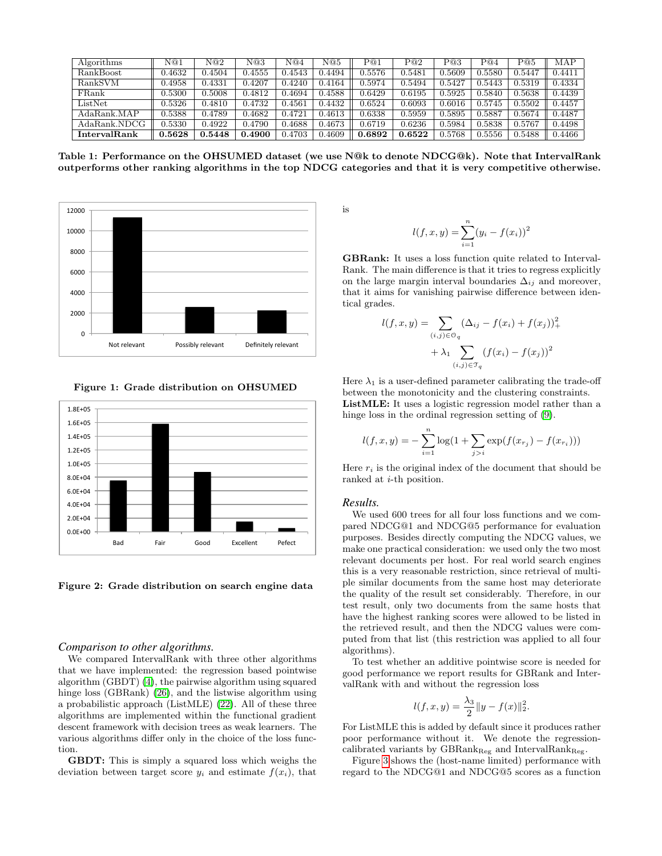| Algorithms         | N@1    | N@2        | N@3    | N@4    | N@5    | P@1    | P@2          | $_{\rm PQ3}$ | P@4    | $_{\rm P@5}$ | MAP    |
|--------------------|--------|------------|--------|--------|--------|--------|--------------|--------------|--------|--------------|--------|
| RankBoost          | 0.4632 | 0.4504     | 0.4555 | 0.4543 | 0.4494 | 0.5576 | $\;\:0.5481$ | 0.5609       | 0.5580 | 0.5447       | 0.4411 |
| RankSVM            | 0.4958 | 0.4331     | 0.4207 | 0.4240 | ).4164 | 0.5974 | 0.5494       | 0.5427       | 0.5443 | 0.5319       | 0.4334 |
| FRank              | 0.5300 | 0.5008     | 0.4812 | 0.4694 | 0.4588 | 0.6429 | ${0.6195}$   | 0.5925       | 0.5840 | 0.5638       | 0.4439 |
| ListNet            | 0.5326 | ${0.4810}$ | 0.4732 | 0.4561 | 0.4432 | 0.6524 | 0.6093       | 0.6016       | 0.5745 | 0.5502       | 0.4457 |
| AdaRank.MAP        | 0.5388 | 0.4789     | 0.4682 | 0.4721 | 0.4613 | 0.6338 | 0.5959       | 0.5895       | 0.5887 | 0.5674       | 0.4487 |
| $\rm AdaRank.NDCG$ | 0.5330 | 0.4922     | 0.4790 | 0.4688 | 0.4673 | 0.6719 | 0.6236       | 0.5984       | 0.5838 | 0.5767       | 0.4498 |
| IntervalRank       | 0.5628 | 0.5448     | 0.4900 | 0.4703 | 0.4609 | 0.6892 | 0.6522       | 0.5768       | 0.5556 | 0.5488       | 0.4466 |

Table 1: Performance on the OHSUMED dataset (we use N@k to denote NDCG@k). Note that IntervalRank outperforms other ranking algorithms in the top NDCG categories and that it is very competitive otherwise.



<span id="page-6-0"></span>Figure 1: Grade distribution on OHSUMED



<span id="page-6-2"></span>Figure 2: Grade distribution on search engine data

#### *Comparison to other algorithms.*

We compared IntervalRank with three other algorithms that we have implemented: the regression based pointwise algorithm (GBDT) [\(4\)](#page-7-1), the pairwise algorithm using squared hinge loss (GBRank) [\(26\)](#page-8-7), and the listwise algorithm using a probabilistic approach (ListMLE) [\(22\)](#page-8-2). All of these three algorithms are implemented within the functional gradient descent framework with decision trees as weak learners. The various algorithms differ only in the choice of the loss function.

GBDT: This is simply a squared loss which weighs the deviation between target score  $y_i$  and estimate  $f(x_i)$ , that

is

<span id="page-6-1"></span>
$$
l(f, x, y) = \sum_{i=1}^{n} (y_i - f(x_i))^2
$$

GBRank: It uses a loss function quite related to Interval-Rank. The main difference is that it tries to regress explicitly on the large margin interval boundaries  $\Delta_{ij}$  and moreover, that it aims for vanishing pairwise difference between identical grades.

$$
l(f, x, y) = \sum_{(i,j) \in \mathcal{O}_q} (\Delta_{ij} - f(x_i) + f(x_j))_+^2
$$
  
+  $\lambda_1 \sum_{(i,j) \in \mathcal{T}_q} (f(x_i) - f(x_j))^2$ 

Here  $\lambda_1$  is a user-defined parameter calibrating the trade-off between the monotonicity and the clustering constraints. ListMLE: It uses a logistic regression model rather than a hinge loss in the ordinal regression setting of [\(9\)](#page-7-2).

$$
l(f, x, y) = -\sum_{i=1}^{n} \log(1 + \sum_{j>i} \exp(f(x_{r_j}) - f(x_{r_i})))
$$

Here  $r_i$  is the original index of the document that should be ranked at  $i$ -th position.

#### *Results.*

We used 600 trees for all four loss functions and we compared NDCG@1 and NDCG@5 performance for evaluation purposes. Besides directly computing the NDCG values, we make one practical consideration: we used only the two most relevant documents per host. For real world search engines this is a very reasonable restriction, since retrieval of multiple similar documents from the same host may deteriorate the quality of the result set considerably. Therefore, in our test result, only two documents from the same hosts that have the highest ranking scores were allowed to be listed in the retrieved result, and then the NDCG values were computed from that list (this restriction was applied to all four algorithms).

To test whether an additive pointwise score is needed for good performance we report results for GBRank and IntervalRank with and without the regression loss

$$
l(f, x, y) = \frac{\lambda_3}{2} ||y - f(x)||_2^2.
$$

For ListMLE this is added by default since it produces rather poor performance without it. We denote the regressioncalibrated variants by  $\text{GBRank}_{\text{Reg}}$  and Interval $\text{Rank}_{\text{Reg}}$ .

Figure [3](#page-8-8) shows the (host-name limited) performance with regard to the NDCG@1 and NDCG@5 scores as a function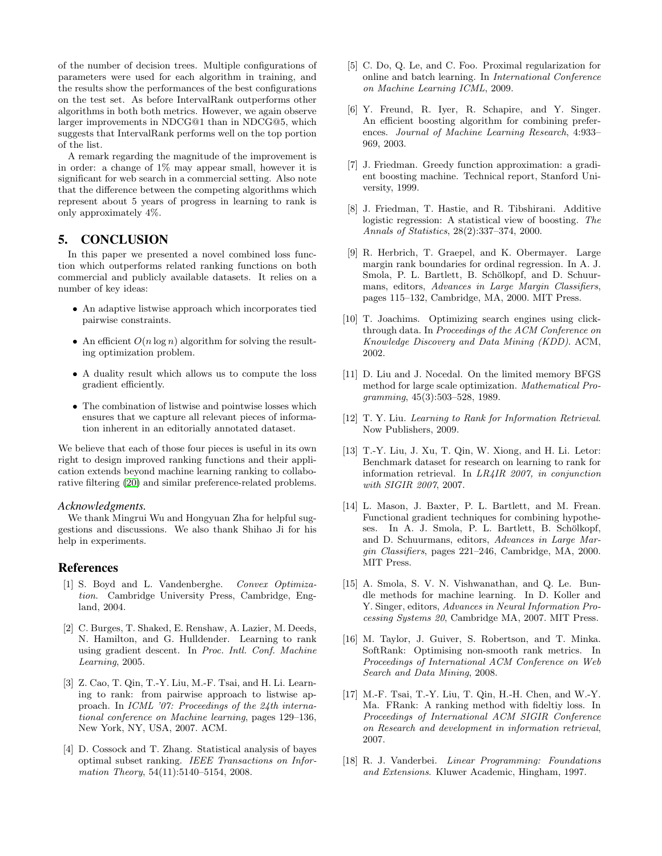of the number of decision trees. Multiple configurations of parameters were used for each algorithm in training, and the results show the performances of the best configurations on the test set. As before IntervalRank outperforms other algorithms in both both metrics. However, we again observe larger improvements in NDCG@1 than in NDCG@5, which suggests that IntervalRank performs well on the top portion of the list.

A remark regarding the magnitude of the improvement is in order: a change of 1% may appear small, however it is significant for web search in a commercial setting. Also note that the difference between the competing algorithms which represent about 5 years of progress in learning to rank is only approximately 4%.

# <span id="page-7-7"></span>5. CONCLUSION

In this paper we presented a novel combined loss function which outperforms related ranking functions on both commercial and publicly available datasets. It relies on a number of key ideas:

- An adaptive listwise approach which incorporates tied pairwise constraints.
- An efficient  $O(n \log n)$  algorithm for solving the resulting optimization problem.
- A duality result which allows us to compute the loss gradient efficiently.
- The combination of listwise and pointwise losses which ensures that we capture all relevant pieces of information inherent in an editorially annotated dataset.

We believe that each of those four pieces is useful in its own right to design improved ranking functions and their application extends beyond machine learning ranking to collaborative filtering [\(20\)](#page-8-1) and similar preference-related problems.

#### *Acknowledgments.*

We thank Mingrui Wu and Hongyuan Zha for helpful suggestions and discussions. We also thank Shihao Ji for his help in experiments.

## References

- <span id="page-7-15"></span>[1] S. Boyd and L. Vandenberghe. Convex Optimization. Cambridge University Press, Cambridge, England, 2004.
- <span id="page-7-4"></span>[2] C. Burges, T. Shaked, E. Renshaw, A. Lazier, M. Deeds, N. Hamilton, and G. Hulldender. Learning to rank using gradient descent. In Proc. Intl. Conf. Machine Learning, 2005.
- <span id="page-7-5"></span>[3] Z. Cao, T. Qin, T.-Y. Liu, M.-F. Tsai, and H. Li. Learning to rank: from pairwise approach to listwise approach. In ICML '07: Proceedings of the 24th international conference on Machine learning, pages 129–136, New York, NY, USA, 2007. ACM.
- <span id="page-7-1"></span>[4] D. Cossock and T. Zhang. Statistical analysis of bayes optimal subset ranking. IEEE Transactions on Information Theory, 54(11):5140-5154, 2008.
- <span id="page-7-9"></span>[5] C. Do, Q. Le, and C. Foo. Proximal regularization for online and batch learning. In International Conference on Machine Learning ICML, 2009.
- <span id="page-7-17"></span>[6] Y. Freund, R. Iyer, R. Schapire, and Y. Singer. An efficient boosting algorithm for combining preferences. Journal of Machine Learning Research, 4:933– 969, 2003.
- <span id="page-7-12"></span>[7] J. Friedman. Greedy function approximation: a gradient boosting machine. Technical report, Stanford University, 1999.
- <span id="page-7-10"></span>[8] J. Friedman, T. Hastie, and R. Tibshirani. Additive logistic regression: A statistical view of boosting. The Annals of Statistics, 28(2):337–374, 2000.
- <span id="page-7-2"></span>[9] R. Herbrich, T. Graepel, and K. Obermayer. Large margin rank boundaries for ordinal regression. In A. J. Smola, P. L. Bartlett, B. Schölkopf, and D. Schuurmans, editors, Advances in Large Margin Classifiers, pages 115–132, Cambridge, MA, 2000. MIT Press.
- <span id="page-7-3"></span>[10] T. Joachims. Optimizing search engines using clickthrough data. In Proceedings of the ACM Conference on Knowledge Discovery and Data Mining (KDD). ACM, 2002.
- <span id="page-7-13"></span>[11] D. Liu and J. Nocedal. On the limited memory BFGS method for large scale optimization. Mathematical Programming, 45(3):503–528, 1989.
- <span id="page-7-0"></span>[12] T. Y. Liu. Learning to Rank for Information Retrieval. Now Publishers, 2009.
- <span id="page-7-16"></span>[13] T.-Y. Liu, J. Xu, T. Qin, W. Xiong, and H. Li. Letor: Benchmark dataset for research on learning to rank for information retrieval. In LR4IR 2007, in conjunction with SIGIR 2007, 2007.
- <span id="page-7-11"></span>[14] L. Mason, J. Baxter, P. L. Bartlett, and M. Frean. Functional gradient techniques for combining hypotheses. In A. J. Smola, P. L. Bartlett, B. Schölkopf, and D. Schuurmans, editors, Advances in Large Margin Classifiers, pages 221–246, Cambridge, MA, 2000. MIT Press.
- <span id="page-7-8"></span>[15] A. Smola, S. V. N. Vishwanathan, and Q. Le. Bundle methods for machine learning. In D. Koller and Y. Singer, editors, Advances in Neural Information Processing Systems 20, Cambridge MA, 2007. MIT Press.
- <span id="page-7-6"></span>[16] M. Taylor, J. Guiver, S. Robertson, and T. Minka. SoftRank: Optimising non-smooth rank metrics. In Proceedings of International ACM Conference on Web Search and Data Mining, 2008.
- <span id="page-7-18"></span>[17] M.-F. Tsai, T.-Y. Liu, T. Qin, H.-H. Chen, and W.-Y. Ma. FRank: A ranking method with fideltiy loss. In Proceedings of International ACM SIGIR Conference on Research and development in information retrieval, 2007.
- <span id="page-7-14"></span>[18] R. J. Vanderbei. Linear Programming: Foundations and Extensions. Kluwer Academic, Hingham, 1997.